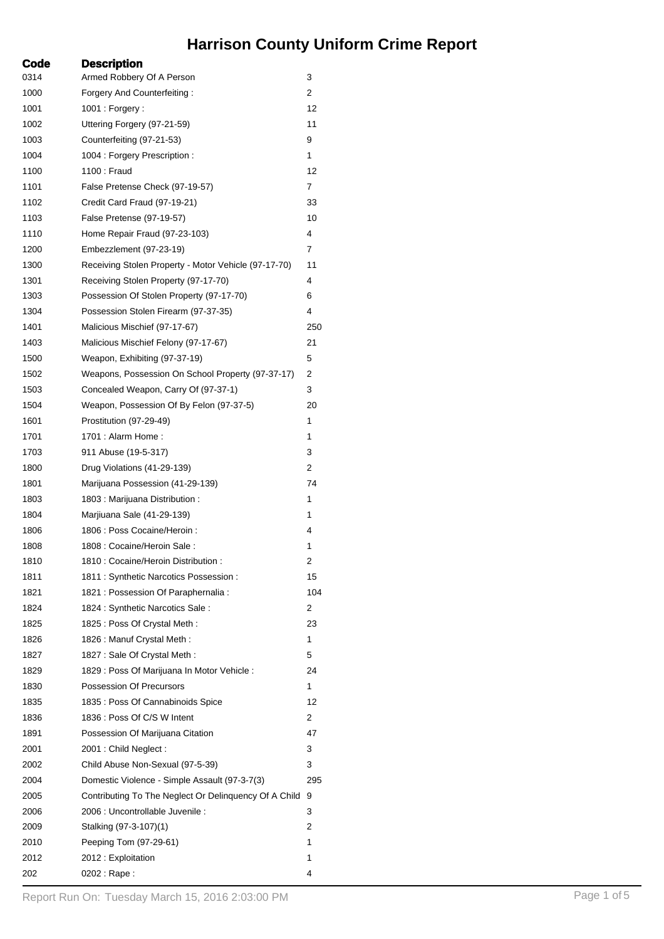## **Harrison County Uniform Crime Report**

| Code | <b>Description</b>                                    |     |
|------|-------------------------------------------------------|-----|
| 0314 | Armed Robbery Of A Person                             | 3   |
| 1000 | Forgery And Counterfeiting:                           | 2   |
| 1001 | 1001 : Forgery :                                      | 12  |
| 1002 | Uttering Forgery (97-21-59)                           | 11  |
| 1003 | Counterfeiting (97-21-53)                             | 9   |
| 1004 | 1004 : Forgery Prescription :                         | 1   |
| 1100 | 1100 : Fraud                                          | 12  |
| 1101 | False Pretense Check (97-19-57)                       | 7   |
| 1102 | Credit Card Fraud (97-19-21)                          | 33  |
| 1103 | False Pretense (97-19-57)                             | 10  |
| 1110 | Home Repair Fraud (97-23-103)                         | 4   |
| 1200 | Embezzlement (97-23-19)                               | 7   |
| 1300 | Receiving Stolen Property - Motor Vehicle (97-17-70)  | 11  |
| 1301 | Receiving Stolen Property (97-17-70)                  | 4   |
| 1303 | Possession Of Stolen Property (97-17-70)              | 6   |
| 1304 | Possession Stolen Firearm (97-37-35)                  | 4   |
| 1401 | Malicious Mischief (97-17-67)                         | 250 |
| 1403 | Malicious Mischief Felony (97-17-67)                  | 21  |
| 1500 | Weapon, Exhibiting (97-37-19)                         | 5   |
| 1502 | Weapons, Possession On School Property (97-37-17)     | 2   |
| 1503 | Concealed Weapon, Carry Of (97-37-1)                  | 3   |
| 1504 | Weapon, Possession Of By Felon (97-37-5)              | 20  |
| 1601 | Prostitution (97-29-49)                               | 1   |
| 1701 | 1701 : Alarm Home :                                   | 1   |
| 1703 | 911 Abuse (19-5-317)                                  | 3   |
| 1800 | Drug Violations (41-29-139)                           | 2   |
| 1801 | Marijuana Possession (41-29-139)                      | 74  |
| 1803 | 1803 : Marijuana Distribution :                       | 1   |
| 1804 | Marjiuana Sale (41-29-139)                            | 1   |
| 1806 | 1806 : Poss Cocaine/Heroin :                          | 4   |
| 1808 | 1808 : Cocaine/Heroin Sale :                          | 1   |
| 1810 | 1810 : Cocaine/Heroin Distribution :                  | 2   |
| 1811 | 1811 : Synthetic Narcotics Possession :               | 15  |
| 1821 | 1821 : Possession Of Paraphernalia :                  | 104 |
| 1824 | 1824 : Synthetic Narcotics Sale :                     | 2   |
| 1825 | 1825 : Poss Of Crystal Meth :                         | 23  |
| 1826 | 1826 : Manuf Crystal Meth :                           | 1   |
| 1827 | 1827 : Sale Of Crystal Meth :                         | 5   |
| 1829 | 1829 : Poss Of Marijuana In Motor Vehicle :           | 24  |
| 1830 | Possession Of Precursors                              | 1   |
| 1835 | 1835 : Poss Of Cannabinoids Spice                     | 12  |
| 1836 | 1836 : Poss Of C/S W Intent                           | 2   |
| 1891 | Possession Of Marijuana Citation                      | 47  |
| 2001 | 2001 : Child Neglect :                                | 3   |
| 2002 | Child Abuse Non-Sexual (97-5-39)                      | 3   |
| 2004 | Domestic Violence - Simple Assault (97-3-7(3)         | 295 |
| 2005 | Contributing To The Neglect Or Delinquency Of A Child | 9   |
| 2006 | 2006 : Uncontrollable Juvenile :                      | 3   |
| 2009 | Stalking (97-3-107)(1)                                | 2   |
| 2010 | Peeping Tom (97-29-61)                                | 1   |
| 2012 | 2012 : Exploitation                                   | 1   |
| 202  | 0202 : Rape :                                         | 4   |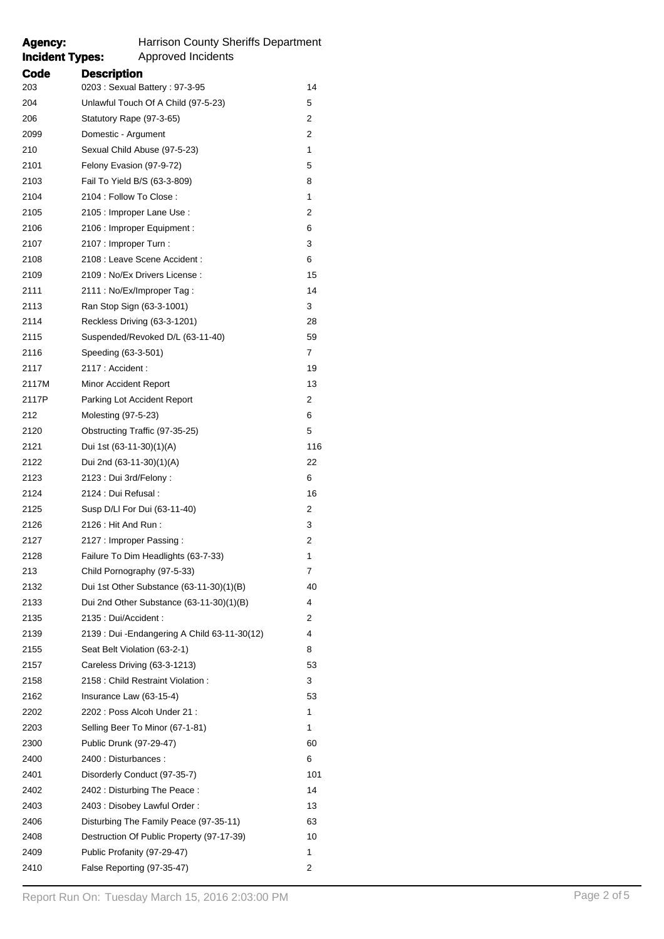| <b>Incident Types:</b> | Approved Incidents                            |     |
|------------------------|-----------------------------------------------|-----|
| Code                   | <b>Description</b>                            |     |
| 203                    | 0203: Sexual Battery: 97-3-95                 | 14  |
| 204                    | Unlawful Touch Of A Child (97-5-23)           | 5   |
| 206                    | Statutory Rape (97-3-65)                      | 2   |
| 2099                   | Domestic - Argument                           | 2   |
| 210                    | Sexual Child Abuse (97-5-23)                  | 1   |
| 2101                   | Felony Evasion (97-9-72)                      | 5   |
| 2103                   | Fail To Yield B/S (63-3-809)                  | 8   |
| 2104                   | 2104 : Follow To Close :                      | 1   |
| 2105                   | 2105 : Improper Lane Use :                    | 2   |
| 2106                   | 2106 : Improper Equipment :                   | 6   |
| 2107                   | 2107 : Improper Turn :                        | 3   |
| 2108                   | 2108 : Leave Scene Accident :                 | 6   |
| 2109                   | 2109 : No/Ex Drivers License :                | 15  |
| 2111                   | 2111 : No/Ex/Improper Tag :                   | 14  |
| 2113                   | Ran Stop Sign (63-3-1001)                     | 3   |
| 2114                   | Reckless Driving (63-3-1201)                  | 28  |
| 2115                   | Suspended/Revoked D/L (63-11-40)              | 59  |
| 2116                   | Speeding (63-3-501)                           | 7   |
| 2117                   | 2117 : Accident :                             | 19  |
| 2117M                  | Minor Accident Report                         | 13  |
| 2117P                  | Parking Lot Accident Report                   | 2   |
| 212                    | Molesting (97-5-23)                           | 6   |
| 2120                   | Obstructing Traffic (97-35-25)                | 5   |
| 2121                   | Dui 1st (63-11-30)(1)(A)                      | 116 |
| 2122                   | Dui 2nd (63-11-30)(1)(A)                      | 22  |
| 2123                   | 2123 : Dui 3rd/Felony :                       | 6   |
| 2124                   | 2124 : Dui Refusal :                          | 16  |
| 2125                   | Susp D/LI For Dui (63-11-40)                  | 2   |
| 2126                   | 2126 : Hit And Run :                          | 3   |
| 2127                   | 2127 : Improper Passing :                     | 2   |
| 2128                   | Failure To Dim Headlights (63-7-33)           | 1   |
| 213                    | Child Pornography (97-5-33)                   | 7   |
| 2132                   | Dui 1st Other Substance $(63-11-30)(1)(B)$    | 40  |
| 2133                   | Dui 2nd Other Substance (63-11-30)(1)(B)      | 4   |
| 2135                   | 2135 : Dui/Accident :                         | 2   |
| 2139                   | 2139 : Dui - Endangering A Child 63-11-30(12) | 4   |
| 2155                   | Seat Belt Violation (63-2-1)                  | 8   |
| 2157                   | Careless Driving (63-3-1213)                  | 53  |
| 2158                   | 2158 : Child Restraint Violation :            | 3   |
| 2162                   | Insurance Law $(63-15-4)$                     | 53  |
| 2202                   | 2202: Poss Alcoh Under 21:                    | 1   |
| 2203                   | Selling Beer To Minor (67-1-81)               | 1   |
| 2300                   | Public Drunk (97-29-47)                       | 60  |
| 2400                   | 2400 : Disturbances :                         | 6   |
| 2401                   | Disorderly Conduct (97-35-7)                  | 101 |
| 2402                   | 2402 : Disturbing The Peace :                 | 14  |
| 2403                   | 2403 : Disobey Lawful Order :                 | 13  |
| 2406                   | Disturbing The Family Peace (97-35-11)        | 63  |
| 2408                   | Destruction Of Public Property (97-17-39)     | 10  |
| 2409                   | Public Profanity (97-29-47)                   | 1   |
| 2410                   | False Reporting (97-35-47)                    | 2   |
|                        |                                               |     |

**Agency:** Harrison County Sheriffs Department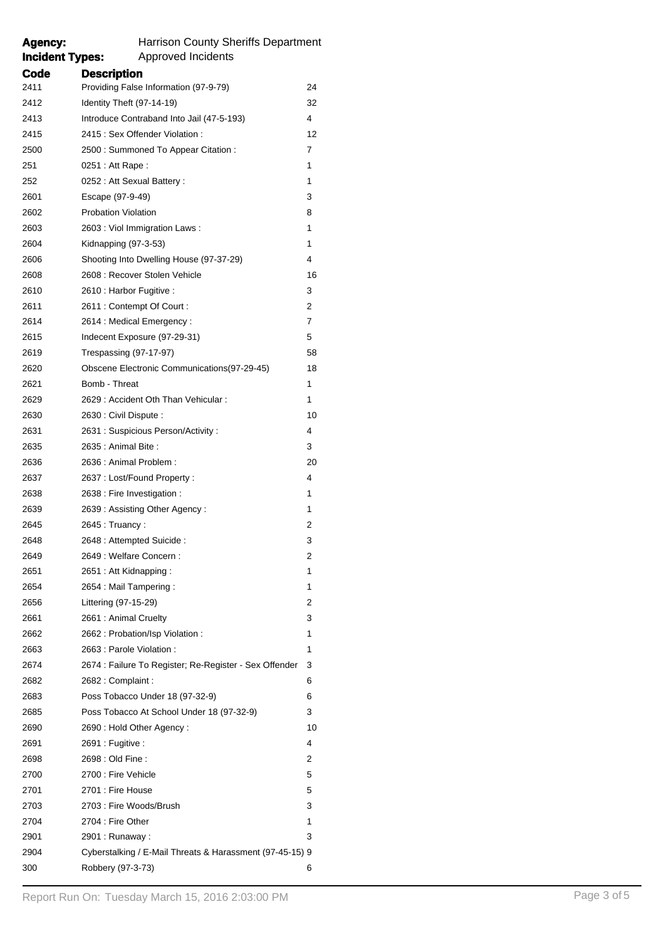| <b>Incident Types:</b> | Approved Incidents                                       |    |
|------------------------|----------------------------------------------------------|----|
| Code                   | <b>Description</b>                                       |    |
| 2411                   | Providing False Information (97-9-79)                    | 24 |
| 2412                   | Identity Theft (97-14-19)                                | 32 |
| 2413                   | Introduce Contraband Into Jail (47-5-193)                | 4  |
| 2415                   | 2415 : Sex Offender Violation :                          | 12 |
| 2500                   | 2500 : Summoned To Appear Citation :                     | 7  |
| 251                    | 0251 : Att Rape :                                        | 1  |
| 252                    | 0252 : Att Sexual Battery :                              | 1  |
| 2601                   | Escape (97-9-49)                                         | 3  |
| 2602                   | <b>Probation Violation</b>                               | 8  |
| 2603                   | 2603 : Viol Immigration Laws :                           | 1  |
| 2604                   | Kidnapping (97-3-53)                                     | 1  |
| 2606                   | Shooting Into Dwelling House (97-37-29)                  | 4  |
| 2608                   | 2608 : Recover Stolen Vehicle                            | 16 |
| 2610                   | 2610 : Harbor Fugitive :                                 | 3  |
| 2611                   | 2611 : Contempt Of Court :                               | 2  |
| 2614                   | 2614 : Medical Emergency :                               | 7  |
| 2615                   | Indecent Exposure (97-29-31)                             | 5  |
| 2619                   | Trespassing (97-17-97)                                   | 58 |
| 2620                   | Obscene Electronic Communications(97-29-45)              | 18 |
| 2621                   | Bomb - Threat                                            | 1  |
| 2629                   | 2629 : Accident Oth Than Vehicular :                     | 1  |
| 2630                   | 2630 : Civil Dispute :                                   | 10 |
| 2631                   | 2631 : Suspicious Person/Activity :                      | 4  |
| 2635                   | 2635 : Animal Bite :                                     | 3  |
| 2636                   | 2636 : Animal Problem :                                  | 20 |
| 2637                   | 2637 : Lost/Found Property :                             | 4  |
| 2638                   | 2638 : Fire Investigation :                              | 1  |
| 2639                   | 2639: Assisting Other Agency:                            | 1  |
| 2645                   | 2645 : Truancy :                                         | 2  |
| 2648                   | 2648 : Attempted Suicide :                               | 3  |
| 2649                   | 2649 : Welfare Concern :                                 | 2  |
| 2651                   | 2651 : Att Kidnapping :                                  | 1  |
| 2654                   | 2654 : Mail Tampering :                                  | 1  |
| 2656                   | Littering (97-15-29)                                     | 2  |
| 2661                   | 2661 : Animal Cruelty                                    | 3  |
| 2662                   | 2662 : Probation/Isp Violation :                         | 1  |
| 2663                   | 2663 : Parole Violation :                                | 1  |
| 2674                   | 2674 : Failure To Register; Re-Register - Sex Offender   | 3  |
| 2682                   | 2682 : Complaint :                                       | 6  |
| 2683                   | Poss Tobacco Under 18 (97-32-9)                          | 6  |
| 2685                   | Poss Tobacco At School Under 18 (97-32-9)                | 3  |
| 2690                   | 2690 : Hold Other Agency :                               | 10 |
| 2691                   | 2691 : Fugitive :                                        | 4  |
| 2698                   | 2698 : Old Fine :                                        | 2  |
| 2700                   | 2700 : Fire Vehicle                                      | 5  |
| 2701                   | 2701 : Fire House                                        | 5  |
| 2703                   | 2703 : Fire Woods/Brush                                  | 3  |
| 2704                   | 2704 : Fire Other                                        | 1  |
| 2901                   | 2901 : Runaway :                                         | 3  |
| 2904                   | Cyberstalking / E-Mail Threats & Harassment (97-45-15) 9 |    |
| 300                    | Robbery (97-3-73)                                        | 6  |
|                        |                                                          |    |

**Agency:** Harrison County Sheriffs Department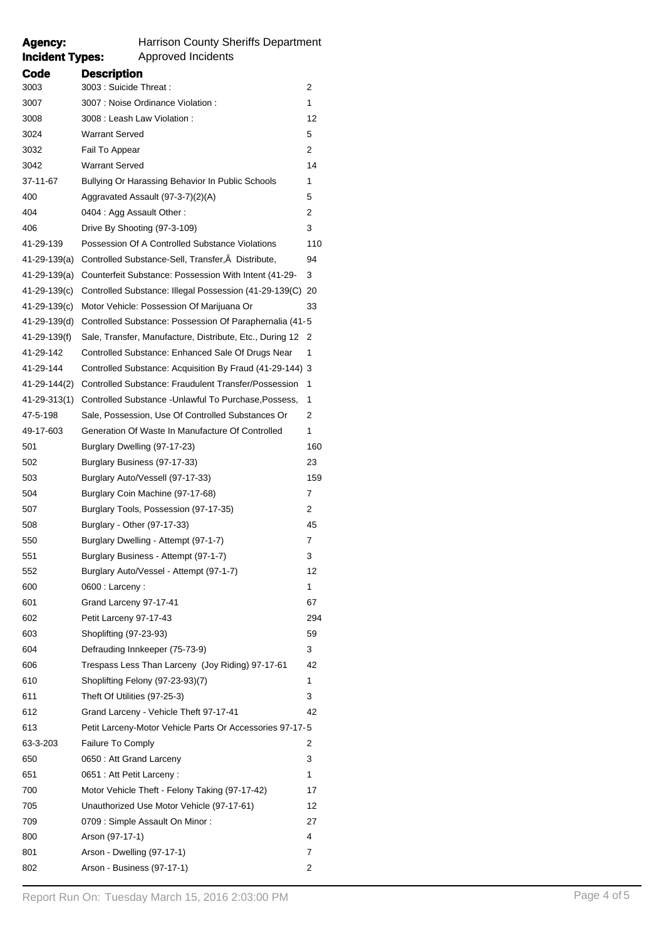## **Incident Types:** Approved Incidents

Agency: Harrison County Sheriffs Department<br> **Incident Types:** Approved Incidents

| Code         | <b>Description</b>                                          |     |
|--------------|-------------------------------------------------------------|-----|
| 3003         | 3003 : Suicide Threat :                                     | 2   |
| 3007         | 3007 : Noise Ordinance Violation :                          | 1   |
| 3008         | 3008 : Leash Law Violation :                                | 12  |
| 3024         | <b>Warrant Served</b>                                       | 5   |
| 3032         | Fail To Appear                                              | 2   |
| 3042         | <b>Warrant Served</b>                                       | 14  |
| 37-11-67     | Bullying Or Harassing Behavior In Public Schools            | 1   |
| 400          | Aggravated Assault (97-3-7)(2)(A)                           | 5   |
| 404          | 0404 : Agg Assault Other :                                  | 2   |
| 406          | Drive By Shooting (97-3-109)                                | 3   |
| 41-29-139    | Possession Of A Controlled Substance Violations             | 110 |
| 41-29-139(a) | Controlled Substance-Sell, Transfer, Â Distribute,          | 94  |
| 41-29-139(a) | Counterfeit Substance: Possession With Intent (41-29-       | 3   |
| 41-29-139(c) | Controlled Substance: Illegal Possession (41-29-139(C)      | 20  |
| 41-29-139(c) | Motor Vehicle: Possession Of Marijuana Or                   | 33  |
| 41-29-139(d) | Controlled Substance: Possession Of Paraphernalia (41-5)    |     |
| 41-29-139(f) | Sale, Transfer, Manufacture, Distribute, Etc., During 12    | 2   |
| 41-29-142    | Controlled Substance: Enhanced Sale Of Drugs Near           | 1   |
| 41-29-144    | Controlled Substance: Acquisition By Fraud (41-29-144) 3    |     |
| 41-29-144(2) | <b>Controlled Substance: Fraudulent Transfer/Possession</b> | 1   |
| 41-29-313(1) | Controlled Substance - Unlawful To Purchase, Possess,       | 1   |
| 47-5-198     | Sale, Possession, Use Of Controlled Substances Or           | 2   |
| 49-17-603    | Generation Of Waste In Manufacture Of Controlled            | 1   |
| 501          | Burglary Dwelling (97-17-23)                                | 160 |
| 502          | Burglary Business (97-17-33)                                | 23  |
| 503          | Burglary Auto/Vessell (97-17-33)                            | 159 |
| 504          | Burglary Coin Machine (97-17-68)                            | 7   |
| 507          | Burglary Tools, Possession (97-17-35)                       | 2   |
| 508          | Burglary - Other (97-17-33)                                 | 45  |
| 550          | Burglary Dwelling - Attempt (97-1-7)                        | 7   |
| 551          | Burglary Business - Attempt (97-1-7)                        | 3   |
| 552          | Burglary Auto/Vessel - Attempt (97-1-7)                     | 12  |
| 600          | 0600 : Larceny :                                            | 1   |
| 601          | Grand Larceny 97-17-41                                      | 67  |
| 602          | Petit Larceny 97-17-43                                      | 294 |
| 603          | Shoplifting (97-23-93)                                      | 59  |
| 604          | Defrauding Innkeeper (75-73-9)                              | 3   |
| 606          | Trespass Less Than Larceny (Joy Riding) 97-17-61            | 42  |
| 610          | Shoplifting Felony (97-23-93)(7)                            | 1   |
| 611          | Theft Of Utilities (97-25-3)                                | 3   |
| 612          | Grand Larceny - Vehicle Theft 97-17-41                      | 42  |
| 613          | Petit Larceny-Motor Vehicle Parts Or Accessories 97-17-5    |     |
| 63-3-203     | Failure To Comply                                           | 2   |
| 650          | 0650: Att Grand Larceny                                     | 3   |
| 651          | 0651 : Att Petit Larceny :                                  | 1   |
| 700          | Motor Vehicle Theft - Felony Taking (97-17-42)              | 17  |
| 705          | Unauthorized Use Motor Vehicle (97-17-61)                   | 12  |
| 709          | 0709 : Simple Assault On Minor :                            | 27  |
| 800          | Arson (97-17-1)                                             | 4   |
| 801          | Arson - Dwelling (97-17-1)                                  | 7   |
| 802          | Arson - Business (97-17-1)                                  | 2   |
|              |                                                             |     |